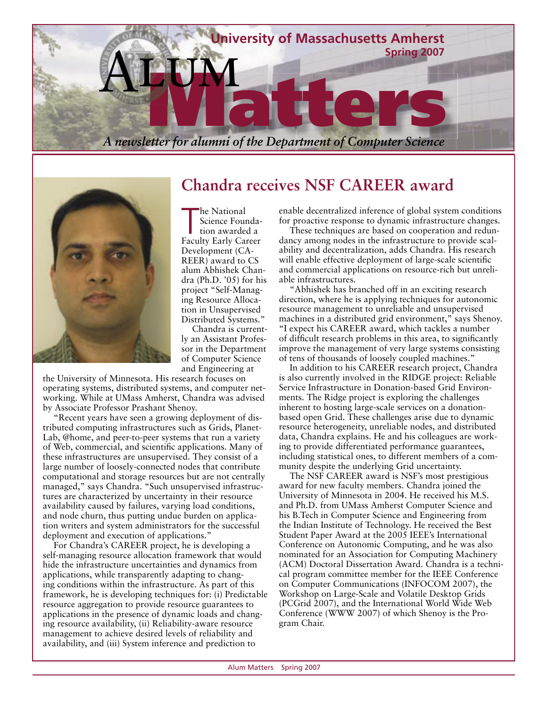



**Chandra receives NSF CAREER award**

The National<br>
Science Founda-<br>
Faculty Early Career he National Science Foundation awarded a Development (CA-REER) award to CS alum Abhishek Chandra (Ph.D. '05) for his project "Self-Managing Resource Allocation in Unsupervised Distributed Systems."

Chandra is currently an Assistant Professor in the Department of Computer Science and Engineering at

the University of Minnesota. His research focuses on operating systems, distributed systems, and computer networking. While at UMass Amherst, Chandra was advised by Associate Professor Prashant Shenoy.

"Recent years have seen a growing deployment of distributed computing infrastructures such as Grids, Planet-Lab, @home, and peer-to-peer systems that run a variety of Web, commercial, and scientific applications. Many of these infrastructures are unsupervised. They consist of a large number of loosely-connected nodes that contribute computational and storage resources but are not centrally managed," says Chandra. "Such unsupervised infrastructures are characterized by uncertainty in their resource availability caused by failures, varying load conditions, and node churn, thus putting undue burden on application writers and system administrators for the successful deployment and execution of applications."

For Chandra's CAREER project, he is developing a self-managing resource allocation framework that would hide the infrastructure uncertainties and dynamics from applications, while transparently adapting to changing conditions within the infrastructure. As part of this framework, he is developing techniques for: (i) Predictable resource aggregation to provide resource guarantees to applications in the presence of dynamic loads and changing resource availability, (ii) Reliability-aware resource management to achieve desired levels of reliability and availability, and (iii) System inference and prediction to

enable decentralized inference of global system conditions for proactive response to dynamic infrastructure changes.

These techniques are based on cooperation and redundancy among nodes in the infrastructure to provide scalability and decentralization, adds Chandra. His research will enable effective deployment of large-scale scientific and commercial applications on resource-rich but unreliable infrastructures.

"Abhishek has branched off in an exciting research direction, where he is applying techniques for autonomic resource management to unreliable and unsupervised machines in a distributed grid environment," says Shenoy. "I expect his CAREER award, which tackles a number of difficult research problems in this area, to significantly improve the management of very large systems consisting of tens of thousands of loosely coupled machines."

In addition to his CAREER research project, Chandra is also currently involved in the RIDGE project: Reliable Service Infrastructure in Donation-based Grid Environments. The Ridge project is exploring the challenges inherent to hosting large-scale services on a donationbased open Grid. These challenges arise due to dynamic resource heterogeneity, unreliable nodes, and distributed data, Chandra explains. He and his colleagues are working to provide differentiated performance guarantees, including statistical ones, to different members of a community despite the underlying Grid uncertainty.

The NSF CAREER award is NSF's most prestigious award for new faculty members. Chandra joined the University of Minnesota in 2004. He received his M.S. and Ph.D. from UMass Amherst Computer Science and his B.Tech in Computer Science and Engineering from the Indian Institute of Technology. He received the Best Student Paper Award at the 2005 IEEE's International Conference on Autonomic Computing, and he was also nominated for an Association for Computing Machinery (ACM) Doctoral Dissertation Award. Chandra is a technical program committee member for the IEEE Conference on Computer Communications (INFOCOM 2007), the Workshop on Large-Scale and Volatile Desktop Grids (PCGrid 2007), and the International World Wide Web Conference (WWW 2007) of which Shenoy is the Program Chair.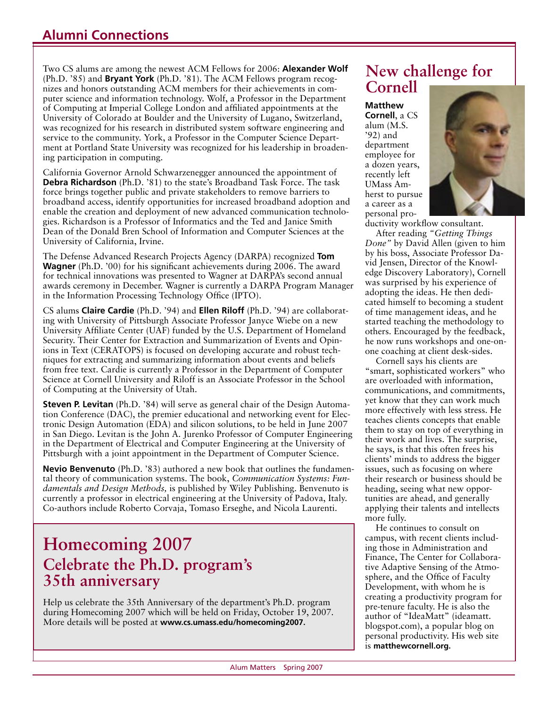### **Alumni Connections**

Two CS alums are among the newest ACM Fellows for 2006: **Alexander Wolf** (Ph.D. '85) and **Bryant York** (Ph.D. '81). The ACM Fellows program recognizes and honors outstanding ACM members for their achievements in computer science and information technology. Wolf, a Professor in the Department of Computing at Imperial College London and affiliated appointments at the University of Colorado at Boulder and the University of Lugano, Switzerland, was recognized for his research in distributed system software engineering and service to the community. York, a Professor in the Computer Science Department at Portland State University was recognized for his leadership in broadening participation in computing.

California Governor Arnold Schwarzenegger announced the appointment of **Debra Richardson** (Ph.D. '81) to the state's Broadband Task Force. The task force brings together public and private stakeholders to remove barriers to broadband access, identify opportunities for increased broadband adoption and enable the creation and deployment of new advanced communication technologies. Richardson is a Professor of Informatics and the Ted and Janice Smith Dean of the Donald Bren School of Information and Computer Sciences at the University of California, Irvine.

The Defense Advanced Research Projects Agency (DARPA) recognized **Tom Wagner** (Ph.D. '00) for his significant achievements during 2006. The award for technical innovations was presented to Wagner at DARPA's second annual awards ceremony in December. Wagner is currently a DARPA Program Manager in the Information Processing Technology Office (IPTO).

CS alums **Claire Cardie** (Ph.D. '94) and **Ellen Riloff** (Ph.D. '94) are collaborating with University of Pittsburgh Associate Professor Janyce Wiebe on a new University Affiliate Center (UAF) funded by the U.S. Department of Homeland Security. Their Center for Extraction and Summarization of Events and Opinions in Text (CERATOPS) is focused on developing accurate and robust techniques for extracting and summarizing information about events and beliefs from free text. Cardie is currently a Professor in the Department of Computer Science at Cornell University and Riloff is an Associate Professor in the School of Computing at the University of Utah.

**Steven P. Levitan** (Ph.D. '84) will serve as general chair of the Design Automation Conference (DAC), the premier educational and networking event for Electronic Design Automation (EDA) and silicon solutions, to be held in June 2007 in San Diego. Levitan is the John A. Jurenko Professor of Computer Engineering in the Department of Electrical and Computer Engineering at the University of Pittsburgh with a joint appointment in the Department of Computer Science.

**Nevio Benvenuto** (Ph.D. '83) authored a new book that outlines the fundamental theory of communication systems. The book, *Communication Systems: Fundamentals and Design Methods,* is published by Wiley Publishing. Benvenuto is currently a professor in electrical engineering at the University of Padova, Italy. Co-authors include Roberto Corvaja, Tomaso Erseghe, and Nicola Laurenti.

## **Homecoming 2007 Celebrate the Ph.D. program's 35th anniversary**

Help us celebrate the 35th Anniversary of the department's Ph.D. program during Homecoming 2007 which will be held on Friday, October 19, 2007. More details will be posted at **www.cs.umass.edu/homecoming2007.**

## **New challenge for Cornell**

#### **Matthew**

**Cornell**, a CS alum (M.S. '92) and department employee for a dozen years, recently left UMass Amherst to pursue a career as a personal pro-



ductivity workflow consultant.

After reading *"Getting Things Done"* by David Allen (given to him by his boss, Associate Professor David Jensen, Director of the Knowledge Discovery Laboratory), Cornell was surprised by his experience of adopting the ideas. He then dedicated himself to becoming a student of time management ideas, and he started teaching the methodology to others. Encouraged by the feedback, he now runs workshops and one-onone coaching at client desk-sides.

Cornell says his clients are "smart, sophisticated workers" who are overloaded with information, communications, and commitments, yet know that they can work much more effectively with less stress. He teaches clients concepts that enable them to stay on top of everything in their work and lives. The surprise, he says, is that this often frees his clients' minds to address the bigger issues, such as focusing on where their research or business should be heading, seeing what new opportunities are ahead, and generally applying their talents and intellects more fully.

He continues to consult on campus, with recent clients including those in Administration and Finance, The Center for Collaborative Adaptive Sensing of the Atmosphere, and the Office of Faculty Development, with whom he is creating a productivity program for pre-tenure faculty. He is also the author of "IdeaMatt" (ideamatt. blogspot.com), a popular blog on personal productivity. His web site is **matthewcornell.org.**